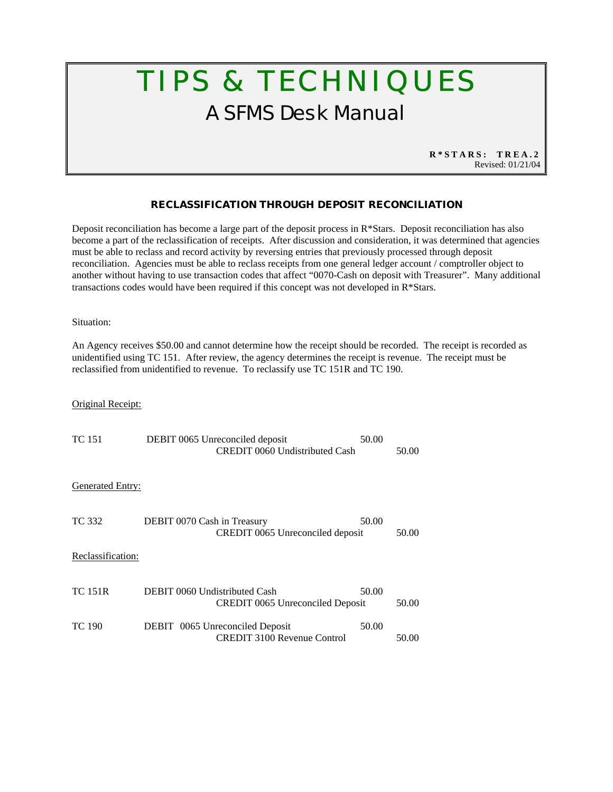## TIPS & TECHNIQUES A SFMS Desk Manual

**R\*STARS: TREA.2** Revised: 01/21/04

## **RECLASSIFICATION THROUGH DEPOSIT RECONCILIATION**

Deposit reconciliation has become a large part of the deposit process in  $R^*$ Stars. Deposit reconciliation has also become a part of the reclassification of receipts. After discussion and consideration, it was determined that agencies must be able to reclass and record activity by reversing entries that previously processed through deposit reconciliation. Agencies must be able to reclass receipts from one general ledger account / comptroller object to another without having to use transaction codes that affect "0070-Cash on deposit with Treasurer". Many additional transactions codes would have been required if this concept was not developed in R\*Stars.

Situation:

An Agency receives \$50.00 and cannot determine how the receipt should be recorded. The receipt is recorded as unidentified using TC 151. After review, the agency determines the receipt is revenue. The receipt must be reclassified from unidentified to revenue. To reclassify use TC 151R and TC 190.

## Original Receipt:

| <b>TC</b> 151           | DEBIT 0065 Unreconciled deposit<br>CREDIT 0060 Undistributed Cash        | 50.00 | 50.00 |
|-------------------------|--------------------------------------------------------------------------|-------|-------|
| <b>Generated Entry:</b> |                                                                          |       |       |
| TC 332                  | DEBIT 0070 Cash in Treasury<br>CREDIT 0065 Unreconciled deposit          | 50.00 | 50.00 |
| Reclassification:       |                                                                          |       |       |
| <b>TC 151R</b>          | DEBIT 0060 Undistributed Cash<br><b>CREDIT 0065 Unreconciled Deposit</b> | 50.00 | 50.00 |
| <b>TC 190</b>           | DEBIT 0065 Unreconciled Deposit<br><b>CREDIT 3100 Revenue Control</b>    | 50.00 | 50.00 |